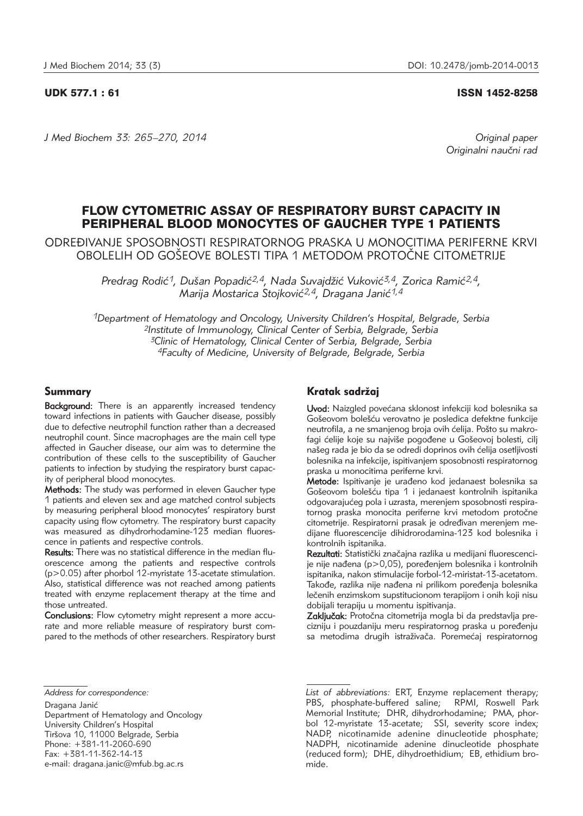#### UDK 577.1 : 61 ISSN 1452-8258

*J Med Biochem 33: 265–270, 2014 Original paper*

Originalni naučni rad

# FLOW CYTOMETRIC ASSAY OF RESPIRATORY BURST CAPACITY IN PERIPHERAL BLOOD MONOCYTES OF GAUCHER TYPE 1 PATIENTS

ODRE\IVANJE SPOSOBNOSTI RESPIRATORNOG PRASKA U MONOCITIMA PERIFERNE KRVI OBOLELIH OD GOŠEOVE BOLESTI TIPA 1 METODOM PROTOČNE CITOMETRIJE

> Predrag Rodić<sup>1</sup>, Dušan Popadić<sup>2,4</sup>, Nada Suvajdžić Vuković<sup>3,4</sup>, Zorica Ramić<sup>2,4</sup>, *Marija Mostarica Stojković<sup>2,4</sup>, Dragana Janić<sup>1,4</sup>*

*1Department of Hematology and Oncology, University Children's Hospital, Belgrade, Serbia 2Institute of Immunology, Clinical Center of Serbia, Belgrade, Serbia 3Clinic of Hematology, Clinical Center of Serbia, Belgrade, Serbia 4Faculty of Medicine, University of Belgrade, Belgrade, Serbia* 

## Summary

Background: There is an apparently increased tendency toward infections in patients with Gaucher disease, possibly due to defective neutrophil function rather than a decreased neutrophil count. Since macrophages are the main cell type affected in Gaucher disease, our aim was to determine the contribution of these cells to the susceptibility of Gaucher patients to infection by studying the respiratory burst capacity of peripheral blood monocytes.

Methods: The study was performed in eleven Gaucher type 1 patients and eleven sex and age matched control subjects by measuring peripheral blood monocytes' respiratory burst capacity using flow cytometry. The respiratory burst capacity was measured as dihydrorhodamine-123 median fluorescence in patients and respective controls.

Results: There was no statistical difference in the median fluorescence among the patients and respective controls (p>0.05) after phorbol 12-myristate 13-acetate stimulation. Also, statistical difference was not reached among patients treated with enzyme replacement therapy at the time and those untreated.

Conclusions: Flow cytometry might represent a more accurate and more reliable measure of respiratory burst compared to the methods of other researchers. Respiratory burst

## Kratak sadržaj

Uvod: Naizgled povećana sklonost infekciji kod bolesnika sa Gošeovom bolešću verovatno je posledica defektne funkcije neutrofila, a ne smanjenog broja ovih ćelija. Pošto su makrofagi ćelije koje su najviše pogođene u Gošeovoj bolesti, cilj našeg rada je bio da se odredi doprinos ovih ćelija osetljivosti bolesnika na infekcije, ispitivanjem sposobnosti respiratornog praska u monocitima periferne krvi.

Metode: Ispitivanje je urađeno kod jedanaest bolesnika sa Gošeovom bolešću tipa 1 i jedanaest kontrolnih ispitanika odgovarajućeg pola i uzrasta, merenjem sposobnosti respiratornog praska monocita periferne krvi metodom protočne citometrije. Respiratorni prasak je određivan merenjem medijane fluorescencije dihidrorodamina-123 kod bolesnika i kontrolnih ispitanika.

Rezultati: Statistički značajna razlika u medijani fluorescencije nije nađena (p>0,05), poređenjem bolesnika i kontrolnih ispitanika, nakon stimulacije forbol-12-miristat-13-acetatom. Takođe, razlika nije nađena ni prilikom poređenja bolesnika lečenih enzimskom supstitucionom terapijom i onih koji nisu dobijali terapiju u momentu ispitivanja.

Zaključak: Protočna citometrija mogla bi da predstavlja precizniju i pouzdaniju meru respiratornog praska u poređenju sa metodima drugih istraživača. Poremećaj respiratornog

Department of Hematology and Oncology University Children's Hospital Tiršova 10, 11000 Belgrade, Serbia Phone: +381-11-2060-690 Fax: +381-11-362-14-13 e-mail: dragana.janic@mfub.bg.ac.rs

*List of abbreviations:* ERT, Enzyme replacement therapy; PBS, phosphate-buffered saline; RPMI, Roswell Park Memorial Institute; DHR, dihydrorhodamine; PMA, phorbol 12-myristate 13-acetate; SSI, severity score index; NADP, nicotinamide adenine dinucleotide phosphate; NADPH, nicotinamide adenine dinucleotide phosphate (reduced form); DHE, dihydroethidium; EB, ethidium bromide.

*Address for correspondence:*

Dragana Janić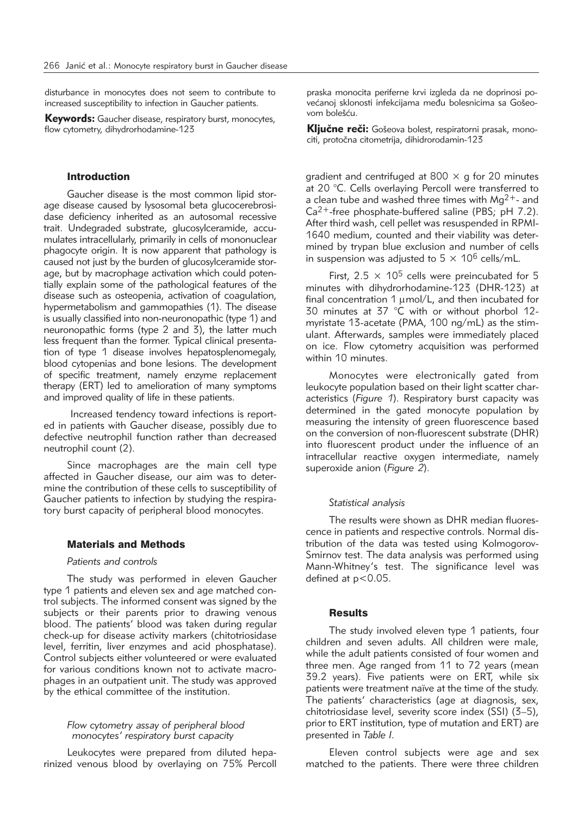disturbance in monocytes does not seem to contribute to increased susceptibility to infection in Gaucher patients.

**Keywords:** Gaucher disease, respiratory burst, monocytes, flow cytometry, dihydrorhodamine-123

#### Introduction

Gaucher disease is the most common lipid storage disease caused by lysosomal beta glucocerebrosidase deficiency inherited as an autosomal recessive trait. Undegraded substrate, glucosylceramide, accumulates intracellularly, primarily in cells of mononuclear phagocyte origin. It is now apparent that pathology is caused not just by the burden of glucosylceramide storage, but by macrophage activation which could potentially explain some of the pathological features of the disease such as osteopenia, activation of coagulation, hypermetabolism and gammopathies (1). The disease is usually classified into non-neuronopathic (type 1) and neuronopathic forms (type 2 and 3), the latter much less frequent than the former. Typical clinical presentation of type 1 disease involves hepatosplenomegaly, blood cytopenias and bone lesions. The development of specific treatment, namely enzyme replacement therapy (ERT) led to amelioration of many symptoms and improved quality of life in these patients.

Increased tendency toward infections is reported in patients with Gaucher disease, possibly due to defective neutrophil function rather than decreased neutrophil count (2).

Since macrophages are the main cell type affected in Gaucher disease, our aim was to determine the contribution of these cells to susceptibility of Gaucher patients to infection by studying the respiratory burst capacity of peripheral blood monocytes.

## Materials and Methods

## *Patients and controls*

The study was performed in eleven Gaucher type 1 patients and eleven sex and age matched control subjects. The informed consent was signed by the subjects or their parents prior to drawing venous blood. The patients' blood was taken during regular check-up for disease activity markers (chitotriosidase level, ferritin, liver enzymes and acid phosphatase). Control subjects either volunteered or were evaluated for various conditions known not to activate macrophages in an outpatient unit. The study was approved by the ethical committee of the institution.

## *Flow cytometry assay of peripheral blood monocytes' respiratory burst capacity*

Leukocytes were prepared from diluted heparinized venous blood by overlaying on 75% Percoll praska monocita periferne krvi izgleda da ne doprinosi povećanoj sklonosti infekcijama među bolesnicima sa Gošeovom bolešću.

Ključne reči: Gošeova bolest, respiratorni prasak, monociti, protočna citometrija, dihidrorodamin-123

gradient and centrifuged at 800  $\times$  g for 20 minutes at 20 °C. Cells overlaying Percoll were transferred to a clean tube and washed three times with  $Mg^{2+}$ - and  $Ca^{2+}$ -free phosphate-buffered saline (PBS; pH 7.2). After third wash, cell pellet was resuspended in RPMI-1640 medium, counted and their viability was determined by trypan blue exclusion and number of cells in suspension was adjusted to  $5 \times 10^6$  cells/mL.

First,  $2.5 \times 10^5$  cells were preincubated for 5 minutes with dihydrorhodamine-123 (DHR-123) at final concentration 1  $\mu$ mol/L, and then incubated for 30 minutes at 37 °C with or without phorbol 12 myristate 13-acetate (PMA, 100 ng/mL) as the stimulant. Afterwards, samples were immediately placed on ice. Flow cytometry acquisition was performed within 10 minutes.

Monocytes were electronically gated from leukocyte population based on their light scatter characteristics (*Figure 1*). Respiratory burst capacity was determined in the gated monocyte population by measuring the intensity of green fluorescence based on the conversion of non-fluorescent substrate (DHR) into fluorescent product under the influence of an intracellular reactive oxygen intermediate, namely superoxide anion (*Figure 2*).

### *Statistical analysis*

The results were shown as DHR median fluorescence in patients and respective controls. Normal distribution of the data was tested using Kolmogorov-Smirnov test. The data analysis was performed using Mann-Whitney's test. The significance level was defined at  $p < 0.05$ .

## **Results**

The study involved eleven type 1 patients, four children and seven adults. All children were male, while the adult patients consisted of four women and three men. Age ranged from 11 to 72 years (mean 39.2 years). Five patients were on ERT, while six patients were treatment naïve at the time of the study. The patients' characteristics (age at diagnosis, sex, chitotriosidase level, severity score index (SSI) (3–5), prior to ERT institution, type of mutation and ERT) are presented in *Table I.*

Eleven control subjects were age and sex matched to the patients. There were three children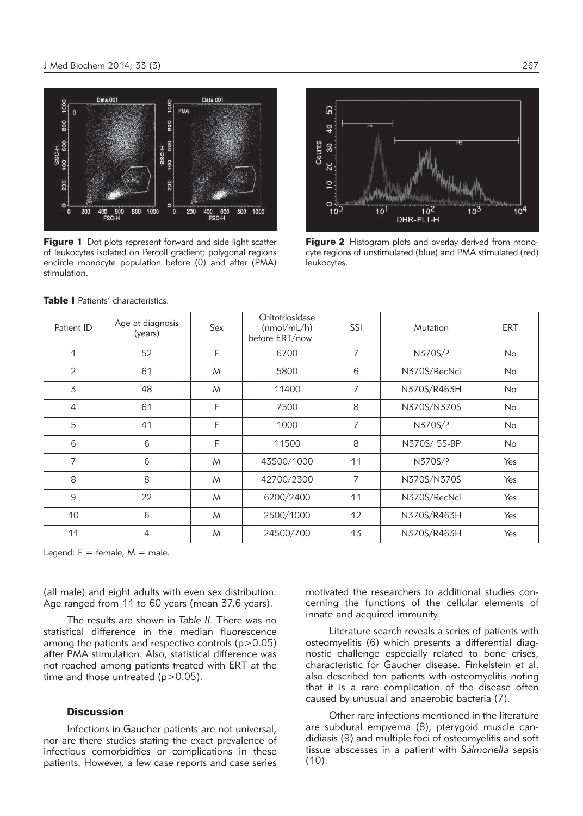

**Figure 1** Dot plots represent forward and side light scatter of leukocytes isolated on Percoll gradient; polygonal regions encircle monocyte population before (0) and after (PMA) stimulation.



**Figure 2** Histogram plots and overlay derived from monocyte regions of unstimulated (blue) and PMA stimulated (red) leukocytes.

| <b>Table I</b> Patients' characteristics. |  |
|-------------------------------------------|--|
|-------------------------------------------|--|

| Patient ID     | Age at diagnosis<br>(years) | Sex | Chitotriosidase<br>(nmol/mL/h)<br>before ERT/now | SSI | <b>Mutation</b> | <b>ERT</b> |
|----------------|-----------------------------|-----|--------------------------------------------------|-----|-----------------|------------|
| 1              | 52                          | F   | 6700                                             | 7   | N370S/?         | <b>No</b>  |
| 2              | 61                          | M   | 5800                                             | 6   | N370S/RecNci    | <b>No</b>  |
| 3              | 48                          | M   | 11400                                            | 7   | N370S/R463H     | No         |
| $\overline{4}$ | 61                          | F   | 7500                                             | 8   | N370S/N370S     | <b>No</b>  |
| 5              | 41                          | F   | 1000                                             | 7   | N370S/?         | <b>No</b>  |
| 6              | 6                           | F   | 11500                                            | 8   | N370S/ 55-BP    | <b>No</b>  |
| 7              | 6                           | M   | 43500/1000                                       | 11  | N370S/?         | Yes        |
| 8              | 8                           | M   | 42700/2300                                       | 7   | N370S/N370S     | Yes        |
| 9              | 22                          | M   | 6200/2400                                        | 11  | N370S/RecNci    | Yes        |
| 10             | 6                           | M   | 2500/1000                                        | 12  | N370S/R463H     | Yes        |
| 11             | 4                           | M   | 24500/700                                        | 13  | N370S/R463H     | Yes        |

Legend:  $F =$  female,  $M =$  male.

(all male) and eight adults with even sex distribution. Age ranged from 11 to 60 years (mean 37.6 years).

The results are shown in *Table II*. There was no statistical difference in the median fluorescence among the patients and respective controls  $(p>0.05)$ after PMA stimulation. Also, statistical difference was not reached among patients treated with ERT at the time and those untreated (p>0.05).

## **Discussion**

Infections in Gaucher patients are not universal, nor are there studies stating the exact prevalence of infectious comorbidities or complications in these patients. However, a few case reports and case series motivated the researchers to additional studies concerning the functions of the cellular elements of innate and acquired immunity.

Literature search reveals a series of patients with osteomyelitis (6) which presents a differential diagnostic challenge especially related to bone crises, characteristic for Gaucher disease. Finkelstein et al. also described ten patients with osteomyelitis noting that it is a rare complication of the disease often caused by unusual and anaerobic bacteria (7).

Other rare infections mentioned in the literature are subdural empyema (8), pterygoid muscle candidiasis (9) and multiple foci of osteomyelitis and soft tissue abscesses in a patient with *Salmonella* sepsis (10).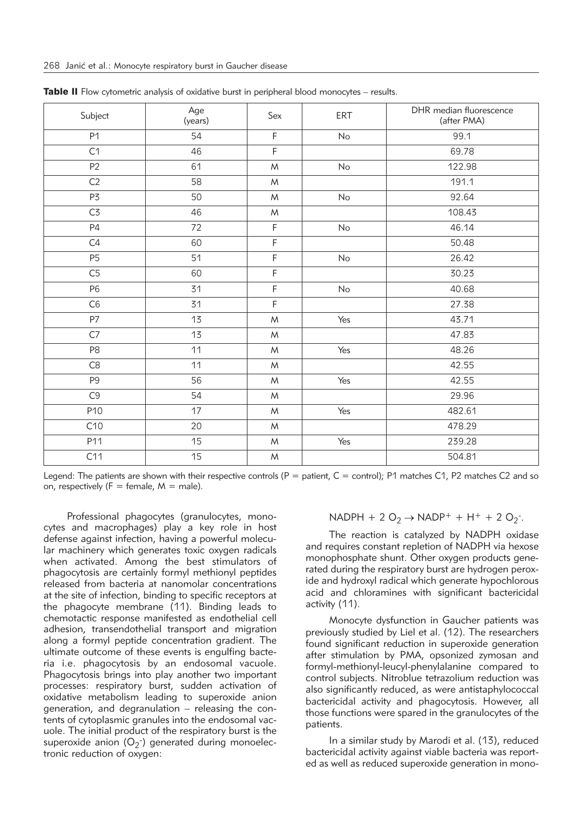| Subject        | Age<br>(years) | Sex         | ERT           | DHR median fluorescence<br>(after PMA) |
|----------------|----------------|-------------|---------------|----------------------------------------|
| P <sub>1</sub> | 54             | F           | No            | 99.1                                   |
| C <sub>1</sub> | 46             | $\mathsf F$ |               | 69.78                                  |
| P <sub>2</sub> | 61             | M           | $\mathsf{No}$ | 122.98                                 |
| C2             | 58             | M           |               | 191.1                                  |
| P3             | 50             | M           | No            | 92.64                                  |
| C3             | 46             | M           |               | 108.43                                 |
| <b>P4</b>      | 72             | $\mathsf F$ | No            | 46.14                                  |
| C4             | 60             | F           |               | 50.48                                  |
| <b>P5</b>      | 51             | F           | No            | 26.42                                  |
| C <sub>5</sub> | 60             | $\mathsf F$ |               | 30.23                                  |
| P6             | 31             | F           | No            | 40.68                                  |
| C <sub>6</sub> | 31             | $\mathsf F$ |               | 27.38                                  |
| P7             | 13             | M           | Yes           | 43.71                                  |
| C7             | 13             | M           |               | 47.83                                  |
| P8             | 11             | M           | Yes           | 48.26                                  |
| C <sub>8</sub> | 11             | M           |               | 42.55                                  |
| P9             | 56             | M           | Yes           | 42.55                                  |
| C <sub>9</sub> | 54             | M           |               | 29.96                                  |
| P10            | 17             | M           | Yes           | 482.61                                 |
| C10            | 20             | M           |               | 478.29                                 |
| P11            | 15             | M           | Yes           | 239.28                                 |
| C11            | 15             | M           |               | 504.81                                 |

Table II Flow cytometric analysis of oxidative burst in peripheral blood monocytes – results.

Legend: The patients are shown with their respective controls ( $P =$  patient,  $C =$  control); P1 matches C1, P2 matches C2 and so on, respectively ( $F =$  female,  $M =$  male).

Professional phagocytes (granulocytes, monocytes and macrophages) play a key role in host defense against infection, having a powerful molecular machinery which generates toxic oxygen radicals when activated. Among the best stimulators of phagocytosis are certainly formyl methionyl peptides released from bacteria at nanomolar concentrations at the site of infection, binding to specific receptors at the phagocyte membrane (11). Binding leads to chemotactic response manifested as endothelial cell adhesion, transendothelial transport and migration along a formyl peptide concentration gradient. The ultimate outcome of these events is engulfing bacteria i.e. phagocytosis by an endosomal vacuole. Phagocytosis brings into play another two important processes: respiratory burst, sudden activation of oxidative metabolism leading to superoxide anion generation, and degranulation – releasing the contents of cytoplasmic granules into the endosomal vacuole. The initial product of the respiratory burst is the superoxide anion (O<sub>2</sub>-) generated during monoelectronic reduction of oxygen:

NADPH + 2 O<sub>2</sub> 
$$
\rightarrow
$$
 NADP<sup>+</sup> + H<sup>+</sup> + 2 O<sub>2</sub>.

The reaction is catalyzed by NADPH oxidase and requires constant repletion of NADPH via hexose monophosphate shunt. Other oxygen products generated during the respiratory burst are hydrogen peroxide and hydroxyl radical which generate hypochlorous acid and chloramines with significant bactericidal activity (11).

Monocyte dysfunction in Gaucher patients was previously studied by Liel et al. (12). The researchers found significant reduction in superoxide generation after stimulation by PMA, opsonized zymosan and formyl-methionyl-leucyl-phenylalanine compared to control subjects. Nitroblue tetrazolium reduction was also significantly reduced, as were antistaphylococcal bactericidal activity and phagocytosis. However, all those functions were spared in the granulocytes of the patients.

In a similar study by Marodi et al. (13), reduced bactericidal activity against viable bacteria was reported as well as reduced superoxide generation in mono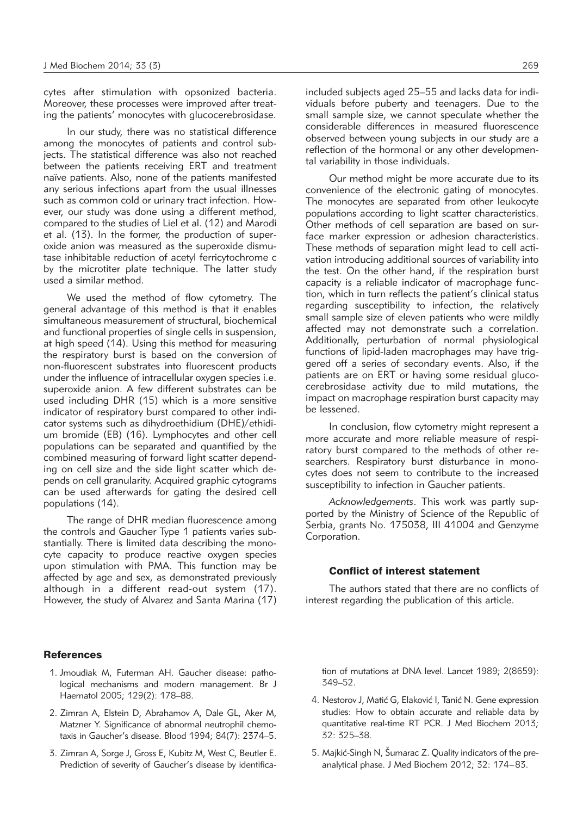cytes after stimulation with opsonized bacteria. Moreover, these processes were improved after treating the patients' monocytes with glucocerebrosidase.

In our study, there was no statistical difference among the monocytes of patients and control subjects. The statistical difference was also not reached between the patients receiving ERT and treatment naïve patients. Also, none of the patients manifested any serious infections apart from the usual illnesses such as common cold or urinary tract infection. However, our study was done using a different method, compared to the studies of Liel et al. (12) and Marodi et al. (13). In the former, the production of superoxide anion was measured as the superoxide dismutase inhibitable reduction of acetyl ferricytochrome c by the microtiter plate technique. The latter study used a similar method.

We used the method of flow cytometry. The general advantage of this method is that it enables simultaneous measurement of structural, biochemical and functional properties of single cells in suspension, at high speed (14). Using this method for measuring the respiratory burst is based on the conversion of non-fluorescent substrates into fluorescent products under the influence of intracellular oxygen species i.e. superoxide anion. A few different substrates can be used including DHR (15) which is a more sensitive indicator of respiratory burst compared to other indicator systems such as dihydroethidium (DHE)/ethidium bromide (EB) (16). Lymphocytes and other cell populations can be separated and quantified by the combined measuring of forward light scatter depending on cell size and the side light scatter which depends on cell granularity. Acquired graphic cytograms can be used afterwards for gating the desired cell populations (14).

The range of DHR median fluorescence among the controls and Gaucher Type 1 patients varies substantially. There is limited data describing the monocyte capacity to produce reactive oxygen species upon stimulation with PMA. This function may be affected by age and sex, as demonstrated previously although in a different read-out system (17). However, the study of Alvarez and Santa Marina (17)

### **References**

- 1. Jmoudiak M, Futerman AH. Gaucher disease: pathological mechanisms and modern management. Br J Haematol 2005; 129(2): 178–88.
- 2. Zimran A, Elstein D, Abrahamov A, Dale GL, Aker M, Matzner Y. Significance of abnormal neutrophil chemotaxis in Gaucher's disease. Blood 1994; 84(7): 2374–5.
- 3. Zimran A, Sorge J, Gross E, Kubitz M, West C, Beutler E. Prediction of severity of Gaucher's disease by identifica-

included subjects aged 25–55 and lacks data for individuals before puberty and teenagers. Due to the small sample size, we cannot speculate whether the considerable differences in measured fluorescence observed between young subjects in our study are a reflection of the hormonal or any other developmental variability in those individuals.

Our method might be more accurate due to its convenience of the electronic gating of monocytes. The monocytes are separated from other leukocyte populations according to light scatter characteristics. Other methods of cell separation are based on surface marker expression or adhesion characteristics. These methods of separation might lead to cell activation introducing additional sources of variability into the test. On the other hand, if the respiration burst capacity is a reliable indicator of macrophage function, which in turn reflects the patient's clinical status regarding susceptibility to infection, the relatively small sample size of eleven patients who were mildly affected may not demonstrate such a correlation. Additionally, perturbation of normal physiological functions of lipid-laden macrophages may have triggered off a series of secondary events. Also, if the patients are on ERT or having some residual glucocerebrosidase activity due to mild mutations, the impact on macrophage respiration burst capacity may be lessened.

In conclusion, flow cytometry might represent a more accurate and more reliable measure of respiratory burst compared to the methods of other researchers. Respiratory burst disturbance in monocytes does not seem to contribute to the increased susceptibility to infection in Gaucher patients.

*Acknowledgements*. This work was partly supported by the Ministry of Science of the Republic of Serbia, grants No. 175038, III 41004 and Genzyme Corporation.

### Conflict of interest statement

The authors stated that there are no conflicts of interest regarding the publication of this article.

tion of mutations at DNA level. Lancet 1989; 2(8659): 349–52.

- 4. Nestorov J, Matić G, Elaković I, Tanić N. Gene expression studies: How to obtain accurate and reliable data by quantitative real-time RT PCR. J Med Biochem 2013; 32: 325–38.
- 5. Majkić-Singh N, Šumarac Z. Quality indicators of the preanalytical phase. J Med Biochem 2012; 32: 174–83.